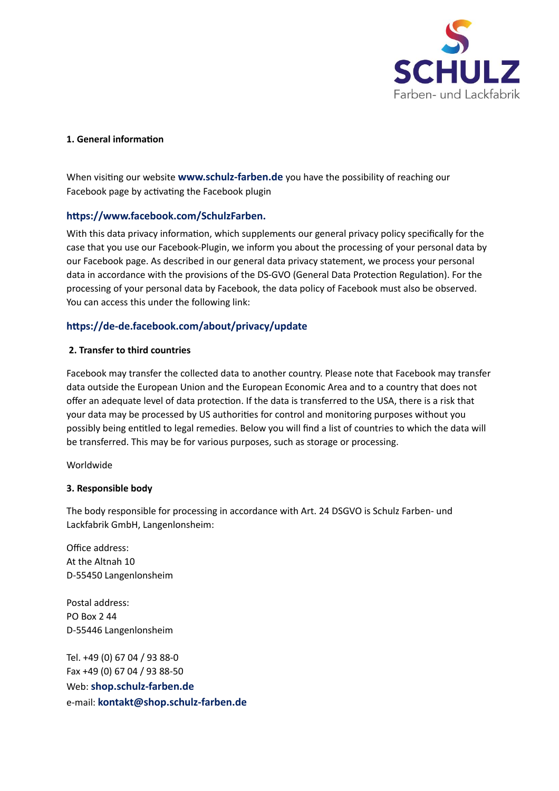

#### **1. General information**

When visiting our website **[www.schulz-farben.de](http://www.schulz-farben.de)** you have the possibility of reaching our Facebook page by activating the Facebook plugin

### **[h8ps://www.facebook.com/SchulzFarben.](https://www.facebook.com/SchulzFarben)**

With this data privacy information, which supplements our general privacy policy specifically for the case that you use our Facebook-Plugin, we inform you about the processing of your personal data by our Facebook page. As described in our general data privacy statement, we process your personal data in accordance with the provisions of the DS-GVO (General Data Protection Regulation). For the processing of your personal data by Facebook, the data policy of Facebook must also be observed. You can access this under the following link:

## **[h8ps://de-de.facebook.com/about/privacy/update](https://de-de.facebook.com/about/privacy/update)**

#### **2. Transfer to third countries**

Facebook may transfer the collected data to another country. Please note that Facebook may transfer data outside the European Union and the European Economic Area and to a country that does not offer an adequate level of data protection. If the data is transferred to the USA, there is a risk that your data may be processed by US authorities for control and monitoring purposes without you possibly being entitled to legal remedies. Below you will find a list of countries to which the data will be transferred. This may be for various purposes, such as storage or processing.

Worldwide

### **3. Responsible body**

The body responsible for processing in accordance with Art. 24 DSGVO is Schulz Farben- und Lackfabrik GmbH, Langenlonsheim:

Office address: At the Altnah 10 D-55450 Langenlonsheim

Postal address: PO Box 2 44 D-55446 Langenlonsheim

Tel. +49 (0) 67 04 / 93 88-0 Fax +49 (0) 67 04 / 93 88-50 Web: **shop.schulz-farben.de**  e-mail: **[kontakt@shop.schulz-farben.de](mailto:kontakt@shop.schulz-farben.de)**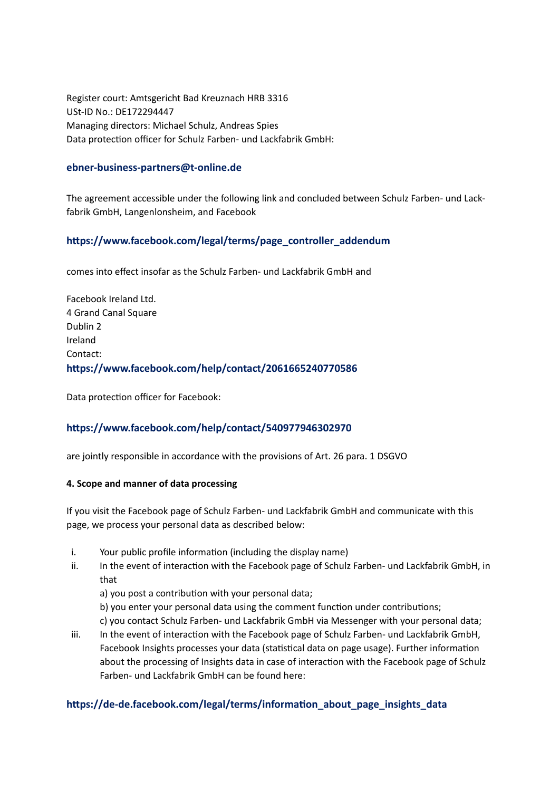Register court: Amtsgericht Bad Kreuznach HRB 3316 USt-ID No.: DE172294447 Managing directors: Michael Schulz, Andreas Spies Data protection officer for Schulz Farben- und Lackfabrik GmbH:

#### **[ebner-business-partners@t-online.de](mailto:ebner-business-partners@t-online.de)**

The agreement accessible under the following link and concluded between Schulz Farben- und Lackfabrik GmbH, Langenlonsheim, and Facebook

## https://www.facebook.com/legal/terms/page\_controller\_addendum

comes into effect insofar as the Schulz Farben- und Lackfabrik GmbH and

Facebook Ireland Ltd. 4 Grand Canal Square Dublin 2 Ireland Contact: **h8ps://www.facebook.com/help/contact/2061665240770586** 

Data protection officer for Facebook:

### **h8ps://www.facebook.com/help/contact/540977946302970**

are jointly responsible in accordance with the provisions of Art. 26 para. 1 DSGVO

#### **4. Scope and manner of data processing**

If you visit the Facebook page of Schulz Farben- und Lackfabrik GmbH and communicate with this page, we process your personal data as described below:

- i. Your public profile information (including the display name)
- ii. In the event of interaction with the Facebook page of Schulz Farben- und Lackfabrik GmbH, in that
	- a) you post a contribution with your personal data;
	- b) you enter your personal data using the comment function under contributions;
	- c) you contact Schulz Farben- und Lackfabrik GmbH via Messenger with your personal data;
- iii. In the event of interaction with the Facebook page of Schulz Farben- und Lackfabrik GmbH, Facebook Insights processes your data (statistical data on page usage). Further information about the processing of Insights data in case of interaction with the Facebook page of Schulz Farben- und Lackfabrik GmbH can be found here:

### https://de-de.facebook.com/legal/terms/information\_about\_page\_insights\_data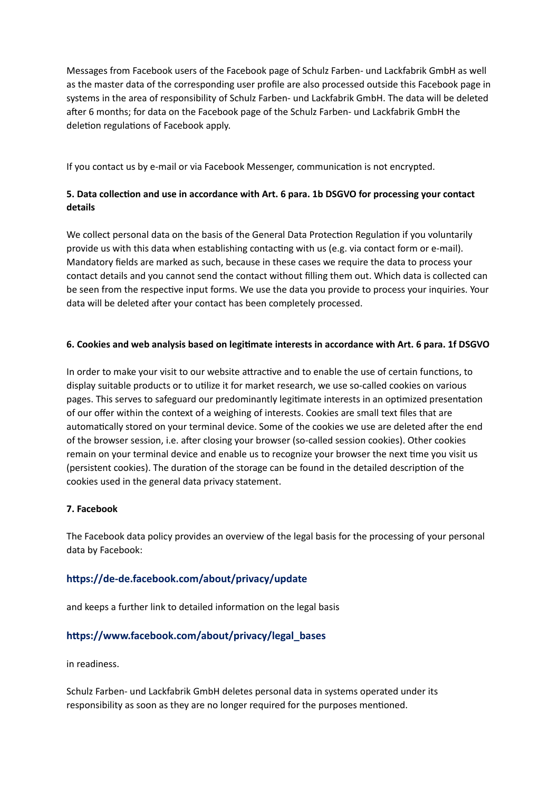Messages from Facebook users of the Facebook page of Schulz Farben- und Lackfabrik GmbH as well as the master data of the corresponding user profile are also processed outside this Facebook page in systems in the area of responsibility of Schulz Farben- und Lackfabrik GmbH. The data will be deleted after 6 months; for data on the Facebook page of the Schulz Farben- und Lackfabrik GmbH the deletion regulations of Facebook apply.

If you contact us by e-mail or via Facebook Messenger, communication is not encrypted.

# 5. Data collection and use in accordance with Art. 6 para. 1b DSGVO for processing your contact **details**

We collect personal data on the basis of the General Data Protection Regulation if you voluntarily provide us with this data when establishing contacting with us (e.g. via contact form or e-mail). Mandatory fields are marked as such, because in these cases we require the data to process your contact details and you cannot send the contact without filling them out. Which data is collected can be seen from the respective input forms. We use the data you provide to process your inquiries. Your data will be deleted after your contact has been completely processed.

### **6. Cookies and web analysis based on legitimate interests in accordance with Art. 6 para. 1f DSGVO**

In order to make your visit to our website attractive and to enable the use of certain functions, to display suitable products or to utilize it for market research, we use so-called cookies on various pages. This serves to safeguard our predominantly legitimate interests in an optimized presentation of our offer within the context of a weighing of interests. Cookies are small text files that are automatically stored on your terminal device. Some of the cookies we use are deleted after the end of the browser session, i.e. after closing your browser (so-called session cookies). Other cookies remain on your terminal device and enable us to recognize your browser the next time you visit us (persistent cookies). The duration of the storage can be found in the detailed description of the cookies used in the general data privacy statement.

### **7. Facebook**

The Facebook data policy provides an overview of the legal basis for the processing of your personal data by Facebook:

# https://de-de.facebook.com/about/privacy/update

and keeps a further link to detailed information on the legal basis

# https://www.facebook.com/about/privacy/legal\_bases

in readiness.

Schulz Farben- und Lackfabrik GmbH deletes personal data in systems operated under its responsibility as soon as they are no longer required for the purposes mentioned.